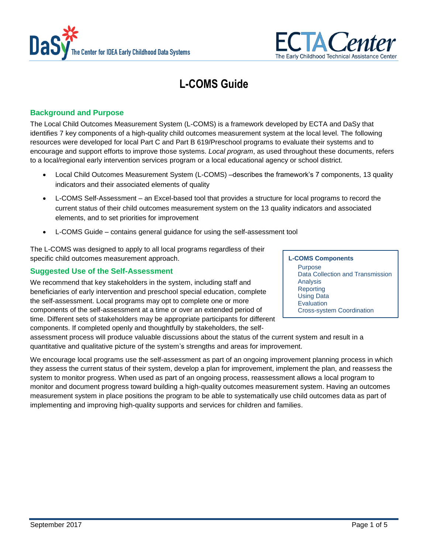



# **L-COMS Guide**

# **Background and Purpose**

The Local Child Outcomes Measurement System (L-COMS) is a framework developed by ECTA and DaSy that identifies 7 key components of a high-quality child outcomes measurement system at the local level. The following resources were developed for local Part C and Part B 619/Preschool programs to evaluate their systems and to encourage and support efforts to improve those systems. *Local program*, as used throughout these documents, refers to a local/regional early intervention services program or a local educational agency or school district.

- [Local Child Outcomes Measurement System \(L-COMS\)](http://ectacenter.org/eco/assets/pdfs/L-COMS_Framework.pdf) –describes the framework's 7 components, 13 quality indicators and their associated elements of quality
- [L-COMS Self-Assessment](http://ectacenter.org/eco/assets/xls/L-COMS_Self-Assessment.xlsm) an Excel-based tool that provides a structure for local programs to record the current status of their child outcomes measurement system on the 13 quality indicators and associated elements, and to set priorities for improvement
- [L-COMS Guide](http://ectacenter.org/eco/assets/pdfs/L-COMS_Self-Assessment_Guidance.pdf) contains general guidance for using the self-assessment tool

The L-COMS was designed to apply to all local programs regardless of their specific child outcomes measurement approach.

# **Suggested Use of the Self-Assessment**

We recommend that key stakeholders in the system, including staff and beneficiaries of early intervention and preschool special education, complete the self-assessment. Local programs may opt to complete one or more components of the self-assessment at a time or over an extended period of time. Different sets of stakeholders may be appropriate participants for different components. If completed openly and thoughtfully by stakeholders, the self-

assessment process will produce valuable discussions about the status of the current system and result in a quantitative and qualitative picture of the system's strengths and areas for improvement.

We encourage local programs use the self-assessment as part of an ongoing improvement planning process in which they assess the current status of their system, develop a plan for improvement, implement the plan, and reassess the system to monitor progress. When used as part of an ongoing process, reassessment allows a local program to monitor and document progress toward building a high-quality outcomes measurement system. Having an outcomes measurement system in place positions the program to be able to systematically use child outcomes data as part of implementing and improving high-quality supports and services for children and families.

**L-COMS Components** Purpose Data Collection and Transmission Analysis **Reporting** Using Data Evaluation Cross-system Coordination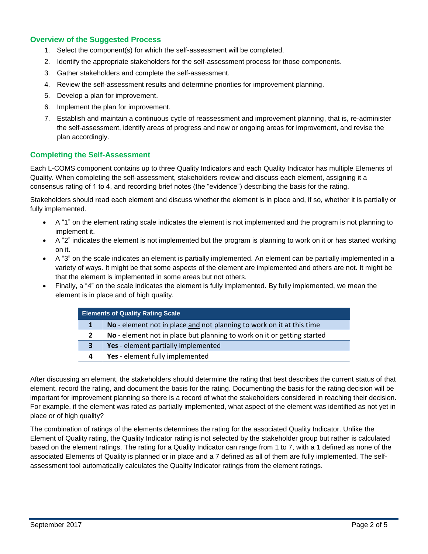# **Overview of the Suggested Process**

- 1. Select the component(s) for which the self-assessment will be completed.
- 2. Identify the appropriate stakeholders for the self-assessment process for those components.
- 3. Gather stakeholders and complete the self-assessment.
- 4. Review the self-assessment results and determine priorities for improvement planning.
- 5. Develop a plan for improvement.
- 6. Implement the plan for improvement.
- 7. Establish and maintain a continuous cycle of reassessment and improvement planning, that is, re-administer the self-assessment, identify areas of progress and new or ongoing areas for improvement, and revise the plan accordingly.

# **Completing the Self-Assessment**

Each L-COMS component contains up to three Quality Indicators and each Quality Indicator has multiple Elements of Quality. When completing the self-assessment, stakeholders review and discuss each element, assigning it a consensus rating of 1 to 4, and recording brief notes (the "evidence") describing the basis for the rating.

Stakeholders should read each element and discuss whether the element is in place and, if so, whether it is partially or fully implemented.

- A "1" on the element rating scale indicates the element is not implemented and the program is not planning to implement it.
- A "2" indicates the element is not implemented but the program is planning to work on it or has started working on it.
- A "3" on the scale indicates an element is partially implemented. An element can be partially implemented in a variety of ways. It might be that some aspects of the element are implemented and others are not. It might be that the element is implemented in some areas but not others.
- Finally, a "4" on the scale indicates the element is fully implemented. By fully implemented, we mean the element is in place and of high quality.

| <b>Elements of Quality Rating Scale</b> |                                                                         |
|-----------------------------------------|-------------------------------------------------------------------------|
|                                         | No - element not in place and not planning to work on it at this time   |
|                                         | No - element not in place but planning to work on it or getting started |
|                                         | Yes - element partially implemented                                     |
| 4                                       | Yes - element fully implemented                                         |

After discussing an element, the stakeholders should determine the rating that best describes the current status of that element, record the rating, and document the basis for the rating. Documenting the basis for the rating decision will be important for improvement planning so there is a record of what the stakeholders considered in reaching their decision. For example, if the element was rated as partially implemented, what aspect of the element was identified as not yet in place or of high quality?

The combination of ratings of the elements determines the rating for the associated Quality Indicator. Unlike the Element of Quality rating, the Quality Indicator rating is not selected by the stakeholder group but rather is calculated based on the element ratings. The rating for a Quality Indicator can range from 1 to 7, with a 1 defined as none of the associated Elements of Quality is planned or in place and a 7 defined as all of them are fully implemented. The selfassessment tool automatically calculates the Quality Indicator ratings from the element ratings.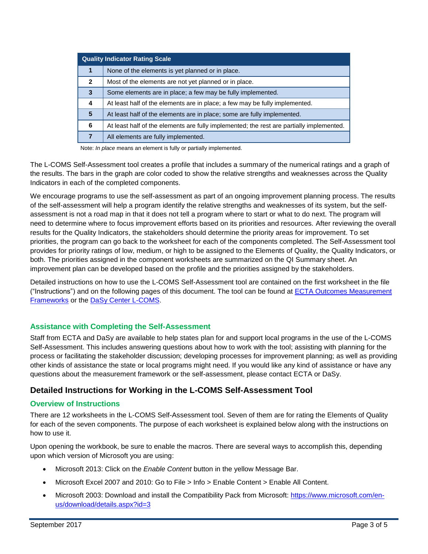| <b>Quality Indicator Rating Scale</b> |                                                                                          |  |
|---------------------------------------|------------------------------------------------------------------------------------------|--|
| 1                                     | None of the elements is yet planned or in place.                                         |  |
| $\mathbf{2}$                          | Most of the elements are not yet planned or in place.                                    |  |
| 3                                     | Some elements are in place; a few may be fully implemented.                              |  |
| 4                                     | At least half of the elements are in place; a few may be fully implemented.              |  |
| 5                                     | At least half of the elements are in place; some are fully implemented.                  |  |
| 6                                     | At least half of the elements are fully implemented; the rest are partially implemented. |  |
| 7                                     | All elements are fully implemented.                                                      |  |

Note: *In place* means an element is fully or partially implemented.

The L-COMS Self-Assessment tool creates a profile that includes a summary of the numerical ratings and a graph of the results. The bars in the graph are color coded to show the relative strengths and weaknesses across the Quality Indicators in each of the completed components.

We encourage programs to use the self-assessment as part of an ongoing improvement planning process. The results of the self-assessment will help a program identify the relative strengths and weaknesses of its system, but the selfassessment is not a road map in that it does not tell a program where to start or what to do next. The program will need to determine where to focus improvement efforts based on its priorities and resources. After reviewing the overall results for the Quality Indicators, the stakeholders should determine the priority areas for improvement. To set priorities, the program can go back to the worksheet for each of the components completed. The Self-Assessment tool provides for priority ratings of low, medium, or high to be assigned to the Elements of Quality, the Quality Indicators, or both. The priorities assigned in the component worksheets are summarized on the QI Summary sheet. An improvement plan can be developed based on the profile and the priorities assigned by the stakeholders.

Detailed instructions on how to use the L-COMS Self-Assessment tool are contained on the first worksheet in the file ("Instructions") and on the following pages of this document. The tool can be found at [ECTA Outcomes Measurement](http://ectacenter.org/eco/pages/frame_dev.asp#SelfAsses)  [Frameworks](http://ectacenter.org/eco/pages/frame_dev.asp#SelfAsses) or the [DaSy Center L-COMS.](http://dasycenter.org/local-child-outcomes-measurement-system-l-coms/)

# **Assistance with Completing the Self-Assessment**

Staff from ECTA and DaSy are available to help states plan for and support local programs in the use of the L-COMS Self-Assessment. This includes answering questions about how to work with the tool; assisting with planning for the process or facilitating the stakeholder discussion; developing processes for improvement planning; as well as providing other kinds of assistance the state or local programs might need. If you would like any kind of assistance or have any questions about the measurement framework or the self-assessment, please contact ECTA or DaSy.

# **Detailed Instructions for Working in the L-COMS Self-Assessment Tool**

# **Overview of Instructions**

There are 12 worksheets in the L-COMS Self-Assessment tool. Seven of them are for rating the Elements of Quality for each of the seven components. The purpose of each worksheet is explained below along with the instructions on how to use it.

Upon opening the workbook, be sure to enable the macros. There are several ways to accomplish this, depending upon which version of Microsoft you are using:

- Microsoft 2013: Click on the *Enable Content* button in the yellow Message Bar.
- Microsoft Excel 2007 and 2010: Go to File > Info > Enable Content > Enable All Content.
- Microsoft 2003: Download and install the Compatibility Pack from Microsoft: [https://www.microsoft.com/en](https://www.microsoft.com/en-us/download/details.aspx?id=3)[us/download/details.aspx?id=3](https://www.microsoft.com/en-us/download/details.aspx?id=3)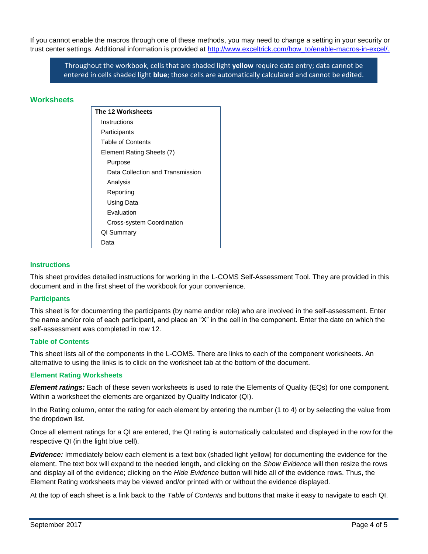If you cannot enable the macros through one of these methods, you may need to change a setting in your security or trust center settings. Additional information is provided at [http://www.exceltrick.com/how\\_to/enable-macros-in-excel/.](http://www.exceltrick.com/how_to/enable-macros-in-excel/)

Throughout the workbook, cells that are shaded light **yellow** require data entry; data cannot be entered in cells shaded light **blue**; those cells are automatically calculated and cannot be edited.

# **Worksheets**

| The 12 Worksheets                |  |  |
|----------------------------------|--|--|
| Instructions                     |  |  |
| Participants                     |  |  |
| Table of Contents                |  |  |
| Element Rating Sheets (7)        |  |  |
| Purpose                          |  |  |
| Data Collection and Transmission |  |  |
| Analysis                         |  |  |
| Reporting                        |  |  |
| Using Data                       |  |  |
| Fvaluation                       |  |  |
| Cross-system Coordination        |  |  |
| QI Summary                       |  |  |
| Data                             |  |  |

#### **Instructions**

This sheet provides detailed instructions for working in the L-COMS Self-Assessment Tool. They are provided in this document and in the first sheet of the workbook for your convenience.

#### **Participants**

This sheet is for documenting the participants (by name and/or role) who are involved in the self-assessment. Enter the name and/or role of each participant, and place an "X" in the cell in the component. Enter the date on which the self-assessment was completed in row 12.

#### **Table of Contents**

This sheet lists all of the components in the L-COMS. There are links to each of the component worksheets. An alternative to using the links is to click on the worksheet tab at the bottom of the document.

#### **Element Rating Worksheets**

*Element ratings:* Each of these seven worksheets is used to rate the Elements of Quality (EQs) for one component. Within a worksheet the elements are organized by Quality Indicator (QI).

In the Rating column, enter the rating for each element by entering the number (1 to 4) or by selecting the value from the dropdown list.

Once all element ratings for a QI are entered, the QI rating is automatically calculated and displayed in the row for the respective QI (in the light blue cell).

*Evidence:* Immediately below each element is a text box (shaded light yellow) for documenting the evidence for the element. The text box will expand to the needed length, and clicking on the *Show Evidence* will then resize the rows and display all of the evidence; clicking on the *Hide Evidence* button will hide all of the evidence rows. Thus, the Element Rating worksheets may be viewed and/or printed with or without the evidence displayed.

At the top of each sheet is a link back to the *Table of Contents* and buttons that make it easy to navigate to each QI.